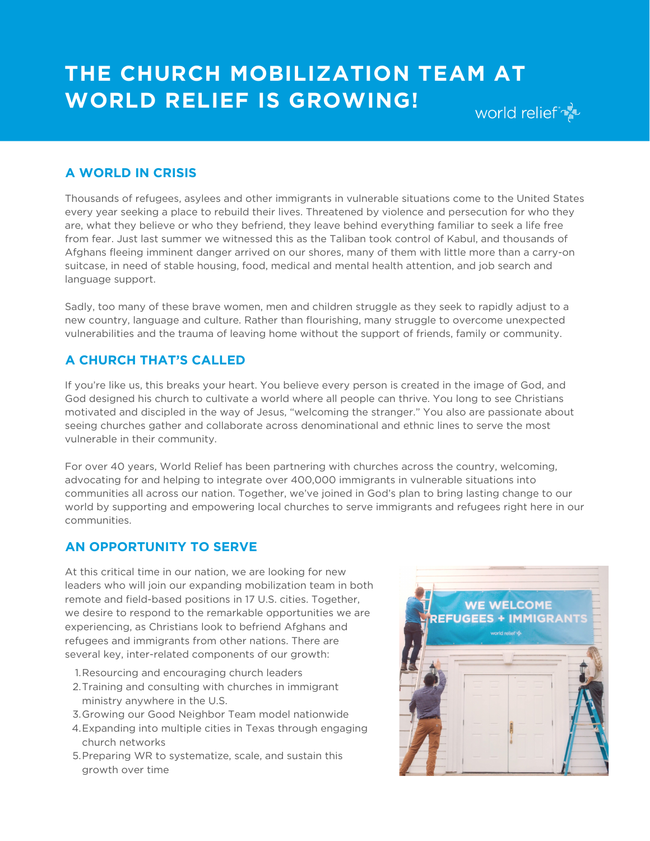## **THE CHURCH MOBILIZATION TEAM AT WORLD RELIEF IS GROWING!** world relief

## **A WORLD IN CRISIS**

Thousands of refugees, asylees and other immigrants in vulnerable situations come to the United States every year seeking a place to rebuild their lives. Threatened by violence and persecution for who they are, what they believe or who they befriend, they leave behind everything familiar to seek a life free from fear. Just last summer we witnessed this as the Taliban took control of Kabul, and thousands of Afghans fleeing imminent danger arrived on our shores, many of them with little more than a carry-on suitcase, in need of stable housing, food, medical and mental health attention, and job search and language support.

Sadly, too many of these brave women, men and children struggle as they seek to rapidly adjust to a new country, language and culture. Rather than flourishing, many struggle to overcome unexpected vulnerabilities and the trauma of leaving home without the support of friends, family or community.

## **A CHURCH THAT'S CALLED**

If you're like us, this breaks your heart. You believe every person is created in the image of God, and God designed his church to cultivate a world where all people can thrive. You long to see Christians motivated and discipled in the way of Jesus, "welcoming the stranger." You also are passionate about seeing churches gather and collaborate across denominational and ethnic lines to serve the most vulnerable in their community.

For over 40 years, World Relief has been partnering with churches across the country, welcoming, advocating for and helping to integrate over 400,000 immigrants in vulnerable situations into communities all across our nation. Together, we've joined in God's plan to bring lasting change to our world by supporting and empowering local churches to serve immigrants and refugees right here in our communities.

## **AN OPPORTUNITY TO SERVE**

At this critical time in our nation, we are looking for new leaders who will join our expanding mobilization team in both remote and field-based positions in 17 U.S. cities. Together, we desire to respond to the remarkable opportunities we are experiencing, as Christians look to befriend Afghans and refugees and immigrants from other nations. There are several key, inter-related components of our growth:

- 1. Resourcing and encouraging church leaders
- 2. Training and consulting with churches in immigrant ministry anywhere in the U.S.
- Growing our Good Neighbor Team model nationwide 3.
- Expanding into multiple cities in Texas through engaging 4. church networks
- 5. Preparing WR to systematize, scale, and sustain this growth over time